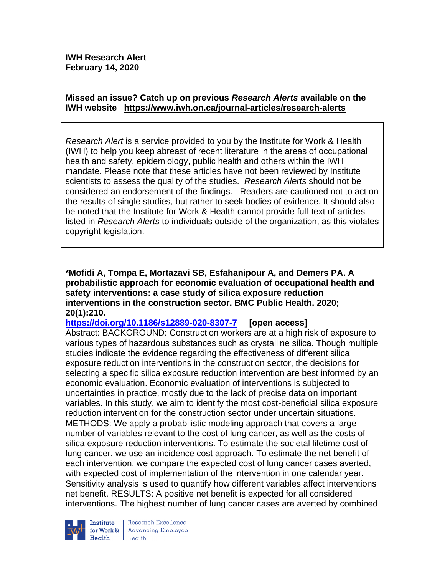# **Missed an issue? Catch up on previous** *Research Alerts* **available on the [IWH website](http://www.iwh.on.ca/research-alerts) <https://www.iwh.on.ca/journal-articles/research-alerts>**

*Research Alert* is a service provided to you by the Institute for Work & Health (IWH) to help you keep abreast of recent literature in the areas of occupational health and safety, epidemiology, public health and others within the IWH mandate. Please note that these articles have not been reviewed by Institute scientists to assess the quality of the studies. *Research Alerts* should not be considered an endorsement of the findings. Readers are cautioned not to act on the results of single studies, but rather to seek bodies of evidence. It should also be noted that the Institute for Work & Health cannot provide full-text of articles listed in *Research Alerts* to individuals outside of the organization, as this violates copyright legislation.

**\*Mofidi A, Tompa E, Mortazavi SB, Esfahanipour A, and Demers PA. A probabilistic approach for economic evaluation of occupational health and safety interventions: a case study of silica exposure reduction interventions in the construction sector. BMC Public Health. 2020; 20(1):210.**

# **<https://doi.org/10.1186/s12889-020-8307-7> [open access]**

Abstract: BACKGROUND: Construction workers are at a high risk of exposure to various types of hazardous substances such as crystalline silica. Though multiple studies indicate the evidence regarding the effectiveness of different silica exposure reduction interventions in the construction sector, the decisions for selecting a specific silica exposure reduction intervention are best informed by an economic evaluation. Economic evaluation of interventions is subjected to uncertainties in practice, mostly due to the lack of precise data on important variables. In this study, we aim to identify the most cost-beneficial silica exposure reduction intervention for the construction sector under uncertain situations. METHODS: We apply a probabilistic modeling approach that covers a large number of variables relevant to the cost of lung cancer, as well as the costs of silica exposure reduction interventions. To estimate the societal lifetime cost of lung cancer, we use an incidence cost approach. To estimate the net benefit of each intervention, we compare the expected cost of lung cancer cases averted, with expected cost of implementation of the intervention in one calendar year. Sensitivity analysis is used to quantify how different variables affect interventions net benefit. RESULTS: A positive net benefit is expected for all considered interventions. The highest number of lung cancer cases are averted by combined



Research Excellence Institute<br>
for Work & Advancing Employee<br>
Health Health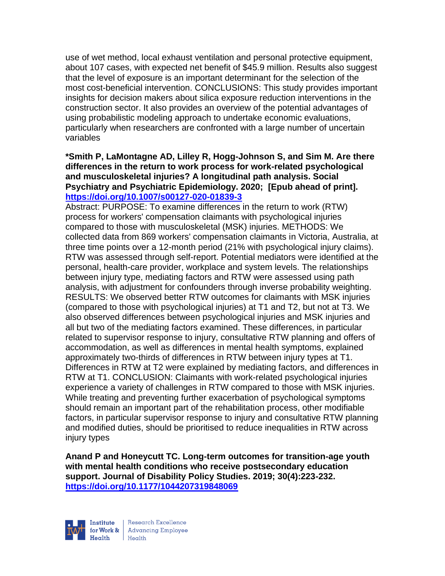use of wet method, local exhaust ventilation and personal protective equipment, about 107 cases, with expected net benefit of \$45.9 million. Results also suggest that the level of exposure is an important determinant for the selection of the most cost-beneficial intervention. CONCLUSIONS: This study provides important insights for decision makers about silica exposure reduction interventions in the construction sector. It also provides an overview of the potential advantages of using probabilistic modeling approach to undertake economic evaluations, particularly when researchers are confronted with a large number of uncertain variables

### **\*Smith P, LaMontagne AD, Lilley R, Hogg-Johnson S, and Sim M. Are there differences in the return to work process for work-related psychological and musculoskeletal injuries? A longitudinal path analysis. Social Psychiatry and Psychiatric Epidemiology. 2020; [Epub ahead of print]. <https://doi.org/10.1007/s00127-020-01839-3>**

Abstract: PURPOSE: To examine differences in the return to work (RTW) process for workers' compensation claimants with psychological injuries compared to those with musculoskeletal (MSK) injuries. METHODS: We collected data from 869 workers' compensation claimants in Victoria, Australia, at three time points over a 12-month period (21% with psychological injury claims). RTW was assessed through self-report. Potential mediators were identified at the personal, health-care provider, workplace and system levels. The relationships between injury type, mediating factors and RTW were assessed using path analysis, with adjustment for confounders through inverse probability weighting. RESULTS: We observed better RTW outcomes for claimants with MSK injuries (compared to those with psychological injuries) at T1 and T2, but not at T3. We also observed differences between psychological injuries and MSK injuries and all but two of the mediating factors examined. These differences, in particular related to supervisor response to injury, consultative RTW planning and offers of accommodation, as well as differences in mental health symptoms, explained approximately two-thirds of differences in RTW between injury types at T1. Differences in RTW at T2 were explained by mediating factors, and differences in RTW at T1. CONCLUSION: Claimants with work-related psychological injuries experience a variety of challenges in RTW compared to those with MSK injuries. While treating and preventing further exacerbation of psychological symptoms should remain an important part of the rehabilitation process, other modifiable factors, in particular supervisor response to injury and consultative RTW planning and modified duties, should be prioritised to reduce inequalities in RTW across injury types

**Anand P and Honeycutt TC. Long-term outcomes for transition-age youth with mental health conditions who receive postsecondary education support. Journal of Disability Policy Studies. 2019; 30(4):223-232. <https://doi.org/10.1177/1044207319848069>** 



Research Excellence for Work & Advancing Employee  $H_{\text{eath}}$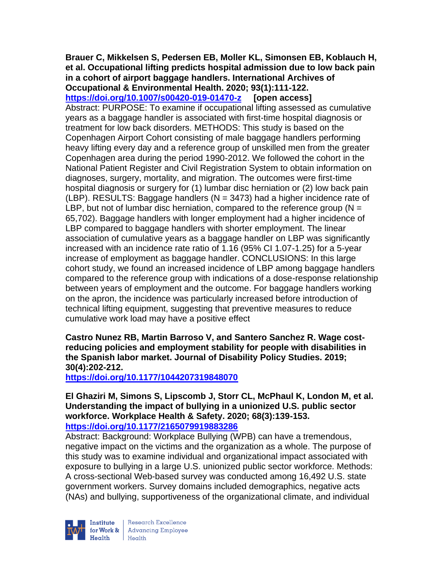### **Brauer C, Mikkelsen S, Pedersen EB, Moller KL, Simonsen EB, Koblauch H, et al. Occupational lifting predicts hospital admission due to low back pain in a cohort of airport baggage handlers. International Archives of Occupational & Environmental Health. 2020; 93(1):111-122.**

**<https://doi.org/10.1007/s00420-019-01470-z> [open access]** Abstract: PURPOSE: To examine if occupational lifting assessed as cumulative years as a baggage handler is associated with first-time hospital diagnosis or treatment for low back disorders. METHODS: This study is based on the Copenhagen Airport Cohort consisting of male baggage handlers performing heavy lifting every day and a reference group of unskilled men from the greater Copenhagen area during the period 1990-2012. We followed the cohort in the National Patient Register and Civil Registration System to obtain information on diagnoses, surgery, mortality, and migration. The outcomes were first-time hospital diagnosis or surgery for (1) lumbar disc herniation or (2) low back pain (LBP). RESULTS: Baggage handlers ( $N = 3473$ ) had a higher incidence rate of LBP, but not of lumbar disc herniation, compared to the reference group ( $N =$ 65,702). Baggage handlers with longer employment had a higher incidence of LBP compared to baggage handlers with shorter employment. The linear association of cumulative years as a baggage handler on LBP was significantly increased with an incidence rate ratio of 1.16 (95% CI 1.07-1.25) for a 5-year increase of employment as baggage handler. CONCLUSIONS: In this large cohort study, we found an increased incidence of LBP among baggage handlers compared to the reference group with indications of a dose-response relationship between years of employment and the outcome. For baggage handlers working on the apron, the incidence was particularly increased before introduction of technical lifting equipment, suggesting that preventive measures to reduce cumulative work load may have a positive effect

**Castro Nunez RB, Martin Barroso V, and Santero Sanchez R. Wage costreducing policies and employment stability for people with disabilities in the Spanish labor market. Journal of Disability Policy Studies. 2019; 30(4):202-212.** 

**<https://doi.org/10.1177/1044207319848070>** 

**El Ghaziri M, Simons S, Lipscomb J, Storr CL, McPhaul K, London M, et al. Understanding the impact of bullying in a unionized U.S. public sector workforce. Workplace Health & Safety. 2020; 68(3):139-153. <https://doi.org/10.1177/2165079919883286>** 

Abstract: Background: Workplace Bullying (WPB) can have a tremendous, negative impact on the victims and the organization as a whole. The purpose of this study was to examine individual and organizational impact associated with exposure to bullying in a large U.S. unionized public sector workforce. Methods: A cross-sectional Web-based survey was conducted among 16,492 U.S. state government workers. Survey domains included demographics, negative acts (NAs) and bullying, supportiveness of the organizational climate, and individual



Research Excellence **Institute** Research Excellence<br> **For Work &**<br>
Morth Harlth Harlth  $H_{\text{each}}$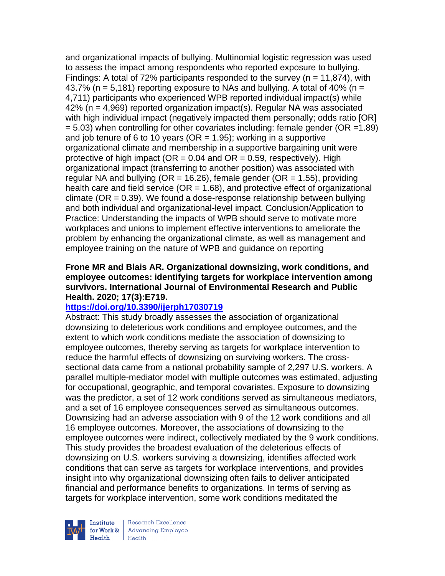and organizational impacts of bullying. Multinomial logistic regression was used to assess the impact among respondents who reported exposure to bullying. Findings: A total of 72% participants responded to the survey ( $n = 11,874$ ), with 43.7% ( $n = 5.181$ ) reporting exposure to NAs and bullying. A total of 40% ( $n =$ 4,711) participants who experienced WPB reported individual impact(s) while  $42\%$  (n = 4,969) reported organization impact(s). Regular NA was associated with high individual impact (negatively impacted them personally; odds ratio [OR]  $= 5.03$ ) when controlling for other covariates including: female gender (OR = 1.89) and job tenure of 6 to 10 years ( $OR = 1.95$ ); working in a supportive organizational climate and membership in a supportive bargaining unit were protective of high impact ( $OR = 0.04$  and  $OR = 0.59$ , respectively). High organizational impact (transferring to another position) was associated with regular NA and bullying ( $OR = 16.26$ ), female gender ( $OR = 1.55$ ), providing health care and field service ( $OR = 1.68$ ), and protective effect of organizational climate ( $OR = 0.39$ ). We found a dose-response relationship between bullying and both individual and organizational-level impact. Conclusion/Application to Practice: Understanding the impacts of WPB should serve to motivate more workplaces and unions to implement effective interventions to ameliorate the problem by enhancing the organizational climate, as well as management and employee training on the nature of WPB and guidance on reporting

### **Frone MR and Blais AR. Organizational downsizing, work conditions, and employee outcomes: identifying targets for workplace intervention among survivors. International Journal of Environmental Research and Public Health. 2020; 17(3):E719.**

### **<https://doi.org/10.3390/ijerph17030719>**

Abstract: This study broadly assesses the association of organizational downsizing to deleterious work conditions and employee outcomes, and the extent to which work conditions mediate the association of downsizing to employee outcomes, thereby serving as targets for workplace intervention to reduce the harmful effects of downsizing on surviving workers. The crosssectional data came from a national probability sample of 2,297 U.S. workers. A parallel multiple-mediator model with multiple outcomes was estimated, adjusting for occupational, geographic, and temporal covariates. Exposure to downsizing was the predictor, a set of 12 work conditions served as simultaneous mediators, and a set of 16 employee consequences served as simultaneous outcomes. Downsizing had an adverse association with 9 of the 12 work conditions and all 16 employee outcomes. Moreover, the associations of downsizing to the employee outcomes were indirect, collectively mediated by the 9 work conditions. This study provides the broadest evaluation of the deleterious effects of downsizing on U.S. workers surviving a downsizing, identifies affected work conditions that can serve as targets for workplace interventions, and provides insight into why organizational downsizing often fails to deliver anticipated financial and performance benefits to organizations. In terms of serving as targets for workplace intervention, some work conditions meditated the



Research Excellence for Work & | Advancing Employee  $H_{\text{each}}$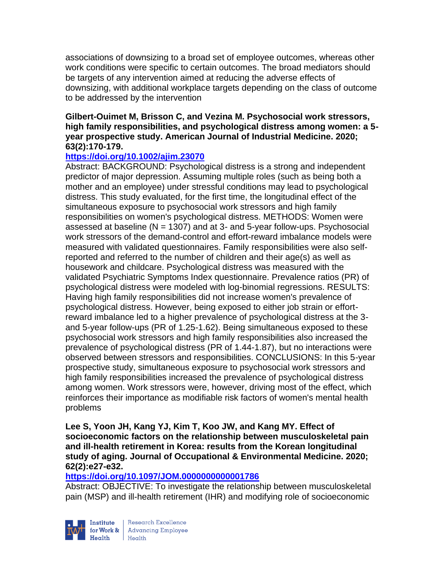associations of downsizing to a broad set of employee outcomes, whereas other work conditions were specific to certain outcomes. The broad mediators should be targets of any intervention aimed at reducing the adverse effects of downsizing, with additional workplace targets depending on the class of outcome to be addressed by the intervention

### **Gilbert-Ouimet M, Brisson C, and Vezina M. Psychosocial work stressors, high family responsibilities, and psychological distress among women: a 5 year prospective study. American Journal of Industrial Medicine. 2020; 63(2):170-179.**

# **<https://doi.org/10.1002/ajim.23070>**

Abstract: BACKGROUND: Psychological distress is a strong and independent predictor of major depression. Assuming multiple roles (such as being both a mother and an employee) under stressful conditions may lead to psychological distress. This study evaluated, for the first time, the longitudinal effect of the simultaneous exposure to psychosocial work stressors and high family responsibilities on women's psychological distress. METHODS: Women were assessed at baseline  $(N = 1307)$  and at 3- and 5-year follow-ups. Psychosocial work stressors of the demand-control and effort-reward imbalance models were measured with validated questionnaires. Family responsibilities were also selfreported and referred to the number of children and their age(s) as well as housework and childcare. Psychological distress was measured with the validated Psychiatric Symptoms Index questionnaire. Prevalence ratios (PR) of psychological distress were modeled with log-binomial regressions. RESULTS: Having high family responsibilities did not increase women's prevalence of psychological distress. However, being exposed to either job strain or effortreward imbalance led to a higher prevalence of psychological distress at the 3 and 5-year follow-ups (PR of 1.25-1.62). Being simultaneous exposed to these psychosocial work stressors and high family responsibilities also increased the prevalence of psychological distress (PR of 1.44-1.87), but no interactions were observed between stressors and responsibilities. CONCLUSIONS: In this 5-year prospective study, simultaneous exposure to psychosocial work stressors and high family responsibilities increased the prevalence of psychological distress among women. Work stressors were, however, driving most of the effect, which reinforces their importance as modifiable risk factors of women's mental health problems

**Lee S, Yoon JH, Kang YJ, Kim T, Koo JW, and Kang MY. Effect of socioeconomic factors on the relationship between musculoskeletal pain and ill-health retirement in Korea: results from the Korean longitudinal study of aging. Journal of Occupational & Environmental Medicine. 2020; 62(2):e27-e32.** 

### **<https://doi.org/10.1097/JOM.0000000000001786>**

Abstract: OBJECTIVE: To investigate the relationship between musculoskeletal pain (MSP) and ill-health retirement (IHR) and modifying role of socioeconomic

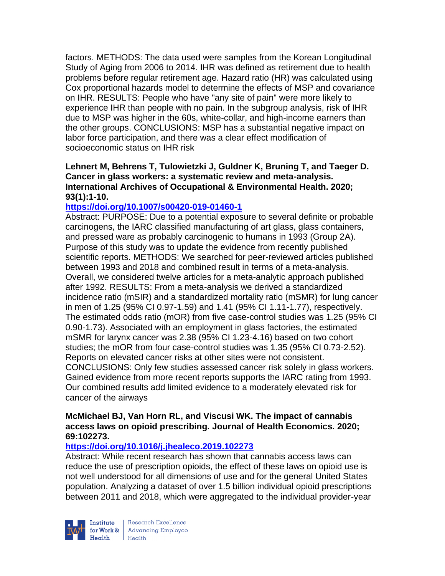factors. METHODS: The data used were samples from the Korean Longitudinal Study of Aging from 2006 to 2014. IHR was defined as retirement due to health problems before regular retirement age. Hazard ratio (HR) was calculated using Cox proportional hazards model to determine the effects of MSP and covariance on IHR. RESULTS: People who have "any site of pain" were more likely to experience IHR than people with no pain. In the subgroup analysis, risk of IHR due to MSP was higher in the 60s, white-collar, and high-income earners than the other groups. CONCLUSIONS: MSP has a substantial negative impact on labor force participation, and there was a clear effect modification of socioeconomic status on IHR risk

### **Lehnert M, Behrens T, Tulowietzki J, Guldner K, Bruning T, and Taeger D. Cancer in glass workers: a systematic review and meta-analysis. International Archives of Occupational & Environmental Health. 2020; 93(1):1-10.**

# **<https://doi.org/10.1007/s00420-019-01460-1>**

Abstract: PURPOSE: Due to a potential exposure to several definite or probable carcinogens, the IARC classified manufacturing of art glass, glass containers, and pressed ware as probably carcinogenic to humans in 1993 (Group 2A). Purpose of this study was to update the evidence from recently published scientific reports. METHODS: We searched for peer-reviewed articles published between 1993 and 2018 and combined result in terms of a meta-analysis. Overall, we considered twelve articles for a meta-analytic approach published after 1992. RESULTS: From a meta-analysis we derived a standardized incidence ratio (mSIR) and a standardized mortality ratio (mSMR) for lung cancer in men of 1.25 (95% CI 0.97-1.59) and 1.41 (95% CI 1.11-1.77), respectively. The estimated odds ratio (mOR) from five case-control studies was 1.25 (95% CI 0.90-1.73). Associated with an employment in glass factories, the estimated mSMR for larynx cancer was 2.38 (95% CI 1.23-4.16) based on two cohort studies; the mOR from four case-control studies was 1.35 (95% CI 0.73-2.52). Reports on elevated cancer risks at other sites were not consistent. CONCLUSIONS: Only few studies assessed cancer risk solely in glass workers. Gained evidence from more recent reports supports the IARC rating from 1993. Our combined results add limited evidence to a moderately elevated risk for cancer of the airways

# **McMichael BJ, Van Horn RL, and Viscusi WK. The impact of cannabis access laws on opioid prescribing. Journal of Health Economics. 2020; 69:102273.**

### **<https://doi.org/10.1016/j.jhealeco.2019.102273>**

Abstract: While recent research has shown that cannabis access laws can reduce the use of prescription opioids, the effect of these laws on opioid use is not well understood for all dimensions of use and for the general United States population. Analyzing a dataset of over 1.5 billion individual opioid prescriptions between 2011 and 2018, which were aggregated to the individual provider-year



| Research Excellence Finantium Research Excellence<br>
Finantium Research Employee<br>
Realth Health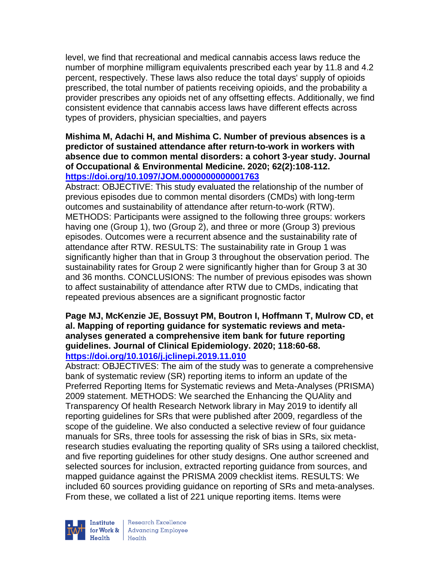level, we find that recreational and medical cannabis access laws reduce the number of morphine milligram equivalents prescribed each year by 11.8 and 4.2 percent, respectively. These laws also reduce the total days' supply of opioids prescribed, the total number of patients receiving opioids, and the probability a provider prescribes any opioids net of any offsetting effects. Additionally, we find consistent evidence that cannabis access laws have different effects across types of providers, physician specialties, and payers

#### **Mishima M, Adachi H, and Mishima C. Number of previous absences is a predictor of sustained attendance after return-to-work in workers with absence due to common mental disorders: a cohort 3-year study. Journal of Occupational & Environmental Medicine. 2020; 62(2):108-112. <https://doi.org/10.1097/JOM.0000000000001763>**

Abstract: OBJECTIVE: This study evaluated the relationship of the number of previous episodes due to common mental disorders (CMDs) with long-term outcomes and sustainability of attendance after return-to-work (RTW). METHODS: Participants were assigned to the following three groups: workers having one (Group 1), two (Group 2), and three or more (Group 3) previous episodes. Outcomes were a recurrent absence and the sustainability rate of attendance after RTW. RESULTS: The sustainability rate in Group 1 was significantly higher than that in Group 3 throughout the observation period. The sustainability rates for Group 2 were significantly higher than for Group 3 at 30 and 36 months. CONCLUSIONS: The number of previous episodes was shown to affect sustainability of attendance after RTW due to CMDs, indicating that repeated previous absences are a significant prognostic factor

#### **Page MJ, McKenzie JE, Bossuyt PM, Boutron I, Hoffmann T, Mulrow CD, et al. Mapping of reporting guidance for systematic reviews and metaanalyses generated a comprehensive item bank for future reporting guidelines. Journal of Clinical Epidemiology. 2020; 118:60-68. <https://doi.org/10.1016/j.jclinepi.2019.11.010>**

Abstract: OBJECTIVES: The aim of the study was to generate a comprehensive bank of systematic review (SR) reporting items to inform an update of the Preferred Reporting Items for Systematic reviews and Meta-Analyses (PRISMA) 2009 statement. METHODS: We searched the Enhancing the QUAlity and Transparency Of health Research Network library in May 2019 to identify all reporting guidelines for SRs that were published after 2009, regardless of the scope of the guideline. We also conducted a selective review of four guidance manuals for SRs, three tools for assessing the risk of bias in SRs, six metaresearch studies evaluating the reporting quality of SRs using a tailored checklist, and five reporting guidelines for other study designs. One author screened and selected sources for inclusion, extracted reporting guidance from sources, and mapped guidance against the PRISMA 2009 checklist items. RESULTS: We included 60 sources providing guidance on reporting of SRs and meta-analyses. From these, we collated a list of 221 unique reporting items. Items were



Research Excellence for Work & | Advancing Employee  $H_{\text{eath}}$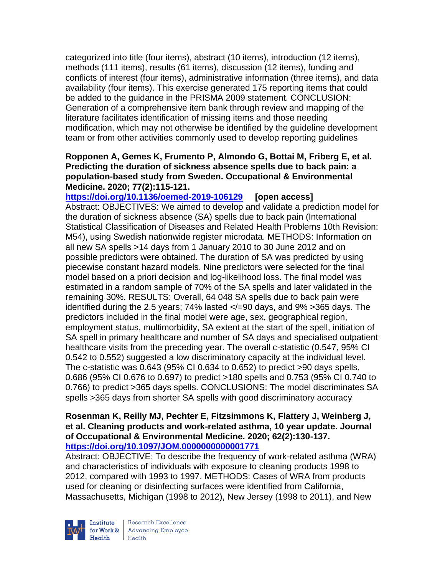categorized into title (four items), abstract (10 items), introduction (12 items), methods (111 items), results (61 items), discussion (12 items), funding and conflicts of interest (four items), administrative information (three items), and data availability (four items). This exercise generated 175 reporting items that could be added to the guidance in the PRISMA 2009 statement. CONCLUSION: Generation of a comprehensive item bank through review and mapping of the literature facilitates identification of missing items and those needing modification, which may not otherwise be identified by the guideline development team or from other activities commonly used to develop reporting guidelines

### **Ropponen A, Gemes K, Frumento P, Almondo G, Bottai M, Friberg E, et al. Predicting the duration of sickness absence spells due to back pain: a population-based study from Sweden. Occupational & Environmental Medicine. 2020; 77(2):115-121.**

**<https://doi.org/10.1136/oemed-2019-106129> [open access]** Abstract: OBJECTIVES: We aimed to develop and validate a prediction model for the duration of sickness absence (SA) spells due to back pain (International Statistical Classification of Diseases and Related Health Problems 10th Revision: M54), using Swedish nationwide register microdata. METHODS: Information on all new SA spells >14 days from 1 January 2010 to 30 June 2012 and on possible predictors were obtained. The duration of SA was predicted by using piecewise constant hazard models. Nine predictors were selected for the final model based on a priori decision and log-likelihood loss. The final model was estimated in a random sample of 70% of the SA spells and later validated in the remaining 30%. RESULTS: Overall, 64 048 SA spells due to back pain were identified during the 2.5 years; 74% lasted </=90 days, and 9% >365 days. The predictors included in the final model were age, sex, geographical region, employment status, multimorbidity, SA extent at the start of the spell, initiation of SA spell in primary healthcare and number of SA days and specialised outpatient healthcare visits from the preceding year. The overall c-statistic (0.547, 95% CI 0.542 to 0.552) suggested a low discriminatory capacity at the individual level. The c-statistic was 0.643 (95% CI 0.634 to 0.652) to predict >90 days spells, 0.686 (95% CI 0.676 to 0.697) to predict >180 spells and 0.753 (95% CI 0.740 to 0.766) to predict >365 days spells. CONCLUSIONS: The model discriminates SA spells >365 days from shorter SA spells with good discriminatory accuracy

#### **Rosenman K, Reilly MJ, Pechter E, Fitzsimmons K, Flattery J, Weinberg J, et al. Cleaning products and work-related asthma, 10 year update. Journal of Occupational & Environmental Medicine. 2020; 62(2):130-137. <https://doi.org/10.1097/JOM.0000000000001771>**

Abstract: OBJECTIVE: To describe the frequency of work-related asthma (WRA) and characteristics of individuals with exposure to cleaning products 1998 to 2012, compared with 1993 to 1997. METHODS: Cases of WRA from products used for cleaning or disinfecting surfaces were identified from California, Massachusetts, Michigan (1998 to 2012), New Jersey (1998 to 2011), and New



Research Excellence for Work & | Advancing Employee Health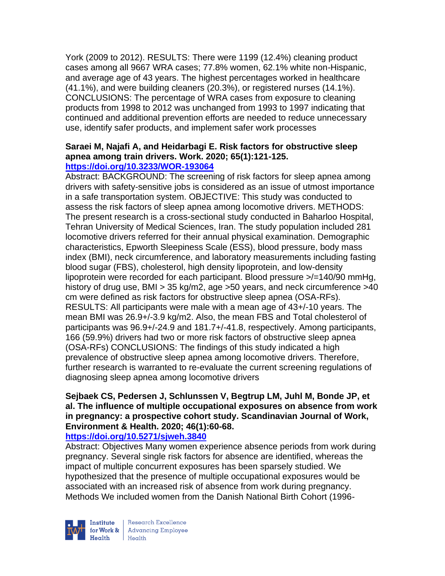York (2009 to 2012). RESULTS: There were 1199 (12.4%) cleaning product cases among all 9667 WRA cases; 77.8% women, 62.1% white non-Hispanic, and average age of 43 years. The highest percentages worked in healthcare (41.1%), and were building cleaners (20.3%), or registered nurses (14.1%). CONCLUSIONS: The percentage of WRA cases from exposure to cleaning products from 1998 to 2012 was unchanged from 1993 to 1997 indicating that continued and additional prevention efforts are needed to reduce unnecessary use, identify safer products, and implement safer work processes

#### **Saraei M, Najafi A, and Heidarbagi E. Risk factors for obstructive sleep apnea among train drivers. Work. 2020; 65(1):121-125. <https://doi.org/10.3233/WOR-193064>**

Abstract: BACKGROUND: The screening of risk factors for sleep apnea among drivers with safety-sensitive jobs is considered as an issue of utmost importance in a safe transportation system. OBJECTIVE: This study was conducted to assess the risk factors of sleep apnea among locomotive drivers. METHODS: The present research is a cross-sectional study conducted in Baharloo Hospital, Tehran University of Medical Sciences, Iran. The study population included 281 locomotive drivers referred for their annual physical examination. Demographic characteristics, Epworth Sleepiness Scale (ESS), blood pressure, body mass index (BMI), neck circumference, and laboratory measurements including fasting blood sugar (FBS), cholesterol, high density lipoprotein, and low-density lipoprotein were recorded for each participant. Blood pressure >/=140/90 mmHg, history of drug use, BMI > 35 kg/m2, age >50 years, and neck circumference >40 cm were defined as risk factors for obstructive sleep apnea (OSA-RFs). RESULTS: All participants were male with a mean age of 43+/-10 years. The mean BMI was 26.9+/-3.9 kg/m2. Also, the mean FBS and Total cholesterol of participants was 96.9+/-24.9 and 181.7+/-41.8, respectively. Among participants, 166 (59.9%) drivers had two or more risk factors of obstructive sleep apnea (OSA-RFs) CONCLUSIONS: The findings of this study indicated a high prevalence of obstructive sleep apnea among locomotive drivers. Therefore, further research is warranted to re-evaluate the current screening regulations of diagnosing sleep apnea among locomotive drivers

# **Sejbaek CS, Pedersen J, Schlunssen V, Begtrup LM, Juhl M, Bonde JP, et al. The influence of multiple occupational exposures on absence from work in pregnancy: a prospective cohort study. Scandinavian Journal of Work, Environment & Health. 2020; 46(1):60-68.**

# **<https://doi.org/10.5271/sjweh.3840>**

Abstract: Objectives Many women experience absence periods from work during pregnancy. Several single risk factors for absence are identified, whereas the impact of multiple concurrent exposures has been sparsely studied. We hypothesized that the presence of multiple occupational exposures would be associated with an increased risk of absence from work during pregnancy. Methods We included women from the Danish National Birth Cohort (1996-



Research Excellence for Work & | Advancing Employee Health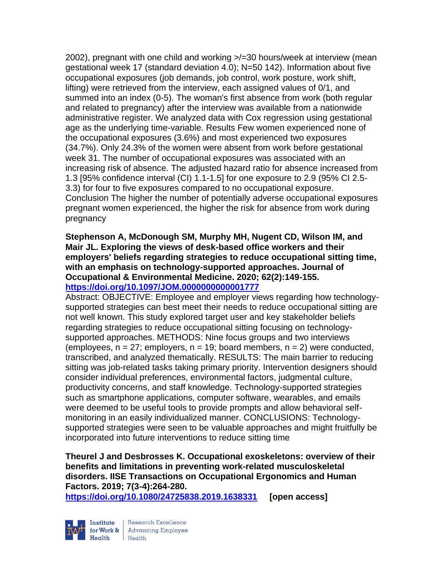2002), pregnant with one child and working >/=30 hours/week at interview (mean gestational week 17 (standard deviation 4.0); N=50 142). Information about five occupational exposures (job demands, job control, work posture, work shift, lifting) were retrieved from the interview, each assigned values of 0/1, and summed into an index (0-5). The woman's first absence from work (both regular and related to pregnancy) after the interview was available from a nationwide administrative register. We analyzed data with Cox regression using gestational age as the underlying time-variable. Results Few women experienced none of the occupational exposures (3.6%) and most experienced two exposures (34.7%). Only 24.3% of the women were absent from work before gestational week 31. The number of occupational exposures was associated with an increasing risk of absence. The adjusted hazard ratio for absence increased from 1.3 [95% confidence interval (CI) 1.1-1.5] for one exposure to 2.9 (95% CI 2.5- 3.3) for four to five exposures compared to no occupational exposure. Conclusion The higher the number of potentially adverse occupational exposures pregnant women experienced, the higher the risk for absence from work during pregnancy

**Stephenson A, McDonough SM, Murphy MH, Nugent CD, Wilson IM, and Mair JL. Exploring the views of desk-based office workers and their employers' beliefs regarding strategies to reduce occupational sitting time, with an emphasis on technology-supported approaches. Journal of Occupational & Environmental Medicine. 2020; 62(2):149-155. <https://doi.org/10.1097/JOM.0000000000001777>** 

Abstract: OBJECTIVE: Employee and employer views regarding how technologysupported strategies can best meet their needs to reduce occupational sitting are not well known. This study explored target user and key stakeholder beliefs regarding strategies to reduce occupational sitting focusing on technologysupported approaches. METHODS: Nine focus groups and two interviews (employees,  $n = 27$ ; employers,  $n = 19$ ; board members,  $n = 2$ ) were conducted, transcribed, and analyzed thematically. RESULTS: The main barrier to reducing sitting was job-related tasks taking primary priority. Intervention designers should consider individual preferences, environmental factors, judgmental culture, productivity concerns, and staff knowledge. Technology-supported strategies such as smartphone applications, computer software, wearables, and emails were deemed to be useful tools to provide prompts and allow behavioral selfmonitoring in an easily individualized manner. CONCLUSIONS: Technologysupported strategies were seen to be valuable approaches and might fruitfully be incorporated into future interventions to reduce sitting time

**Theurel J and Desbrosses K. Occupational exoskeletons: overview of their benefits and limitations in preventing work-related musculoskeletal disorders. IISE Transactions on Occupational Ergonomics and Human Factors. 2019; 7(3-4):264-280.** 

**<https://doi.org/10.1080/24725838.2019.1638331> [open access]**



Research Excellence for Work & | Advancing Employee Health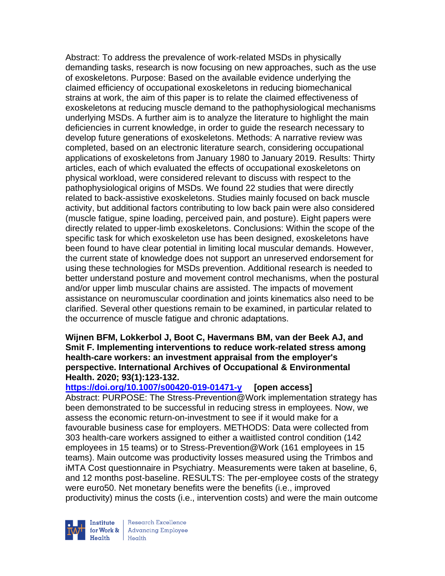Abstract: To address the prevalence of work-related MSDs in physically demanding tasks, research is now focusing on new approaches, such as the use of exoskeletons. Purpose: Based on the available evidence underlying the claimed efficiency of occupational exoskeletons in reducing biomechanical strains at work, the aim of this paper is to relate the claimed effectiveness of exoskeletons at reducing muscle demand to the pathophysiological mechanisms underlying MSDs. A further aim is to analyze the literature to highlight the main deficiencies in current knowledge, in order to guide the research necessary to develop future generations of exoskeletons. Methods: A narrative review was completed, based on an electronic literature search, considering occupational applications of exoskeletons from January 1980 to January 2019. Results: Thirty articles, each of which evaluated the effects of occupational exoskeletons on physical workload, were considered relevant to discuss with respect to the pathophysiological origins of MSDs. We found 22 studies that were directly related to back-assistive exoskeletons. Studies mainly focused on back muscle activity, but additional factors contributing to low back pain were also considered (muscle fatigue, spine loading, perceived pain, and posture). Eight papers were directly related to upper-limb exoskeletons. Conclusions: Within the scope of the specific task for which exoskeleton use has been designed, exoskeletons have been found to have clear potential in limiting local muscular demands. However, the current state of knowledge does not support an unreserved endorsement for using these technologies for MSDs prevention. Additional research is needed to better understand posture and movement control mechanisms, when the postural and/or upper limb muscular chains are assisted. The impacts of movement assistance on neuromuscular coordination and joints kinematics also need to be clarified. Several other questions remain to be examined, in particular related to the occurrence of muscle fatigue and chronic adaptations.

#### **Wijnen BFM, Lokkerbol J, Boot C, Havermans BM, van der Beek AJ, and Smit F. Implementing interventions to reduce work-related stress among health-care workers: an investment appraisal from the employer's perspective. International Archives of Occupational & Environmental Health. 2020; 93(1):123-132.**

### **<https://doi.org/10.1007/s00420-019-01471-y> [open access]**

Abstract: PURPOSE: The Stress-Prevention@Work implementation strategy has been demonstrated to be successful in reducing stress in employees. Now, we assess the economic return-on-investment to see if it would make for a favourable business case for employers. METHODS: Data were collected from 303 health-care workers assigned to either a waitlisted control condition (142 employees in 15 teams) or to Stress-Prevention@Work (161 employees in 15 teams). Main outcome was productivity losses measured using the Trimbos and iMTA Cost questionnaire in Psychiatry. Measurements were taken at baseline, 6, and 12 months post-baseline. RESULTS: The per-employee costs of the strategy were euro50. Net monetary benefits were the benefits (i.e., improved productivity) minus the costs (i.e., intervention costs) and were the main outcome



Research Excellence for Work & | Advancing Employee  $H_{\text{each}}$